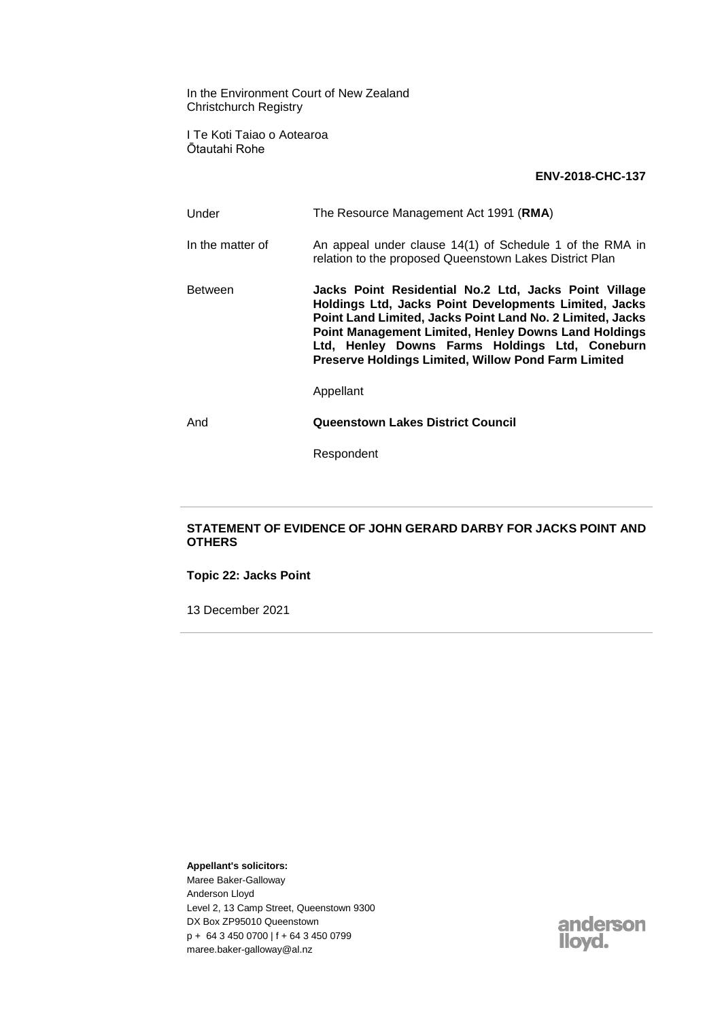In the Environment Court of New Zealand Christchurch Registry

I Te Koti Taiao o Aotearoa Ōtautahi Rohe

## **ENV-2018-CHC-137**

Under The Resource Management Act 1991 (**RMA**) In the matter of An appeal under clause 14(1) of Schedule 1 of the RMA in relation to the proposed Queenstown Lakes District Plan Between **Jacks Point Residential No.2 Ltd, Jacks Point Village Holdings Ltd, Jacks Point Developments Limited, Jacks Point Land Limited, Jacks Point Land No. 2 Limited, Jacks Point Management Limited, Henley Downs Land Holdings Ltd, Henley Downs Farms Holdings Ltd, Coneburn Preserve Holdings Limited, Willow Pond Farm Limited** Appellant And **Queenstown Lakes District Council**

Respondent

## **STATEMENT OF EVIDENCE OF JOHN GERARD DARBY FOR JACKS POINT AND OTHERS**

**Topic 22: Jacks Point**

13 December 2021

**Appellant's solicitors:**

Maree Baker-Galloway Anderson Lloyd Level 2, 13 Camp Street, Queenstown 9300 DX Box ZP95010 Queenstown p + 64 3 450 0700 | f + 64 3 450 0799 maree.baker-galloway@al.nz

anderson llovd.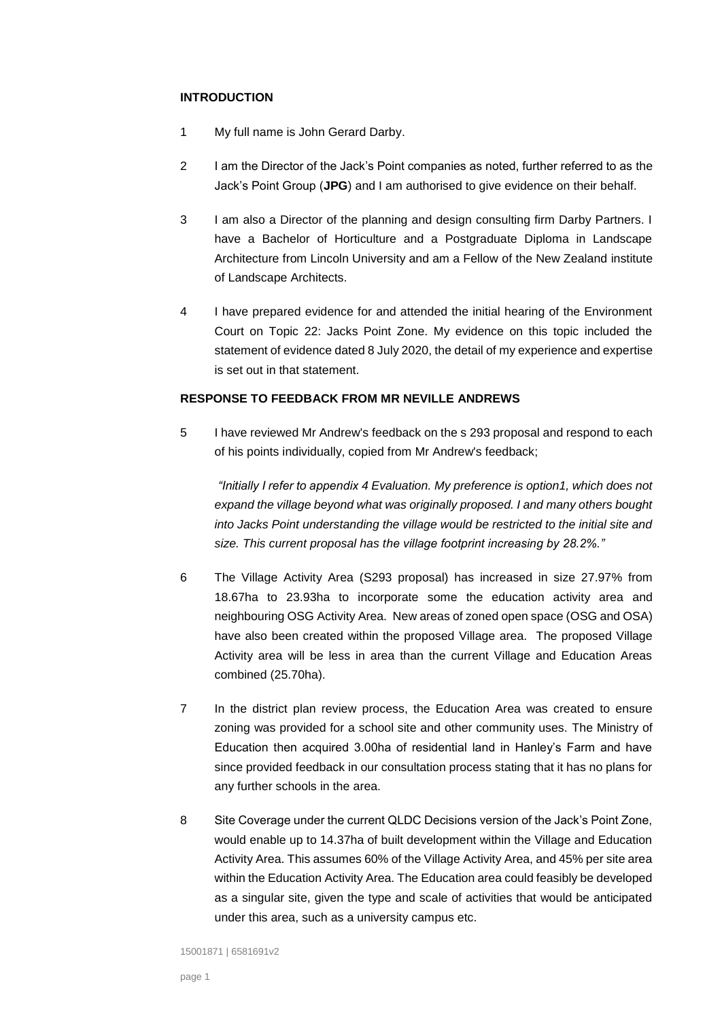## **INTRODUCTION**

- 1 My full name is John Gerard Darby.
- 2 I am the Director of the Jack's Point companies as noted, further referred to as the Jack's Point Group (**JPG**) and I am authorised to give evidence on their behalf.
- 3 I am also a Director of the planning and design consulting firm Darby Partners. I have a Bachelor of Horticulture and a Postgraduate Diploma in Landscape Architecture from Lincoln University and am a Fellow of the New Zealand institute of Landscape Architects.
- 4 I have prepared evidence for and attended the initial hearing of the Environment Court on Topic 22: Jacks Point Zone. My evidence on this topic included the statement of evidence dated 8 July 2020, the detail of my experience and expertise is set out in that statement.

## **RESPONSE TO FEEDBACK FROM MR NEVILLE ANDREWS**

5 I have reviewed Mr Andrew's feedback on the s 293 proposal and respond to each of his points individually, copied from Mr Andrew's feedback;

*"Initially I refer to appendix 4 Evaluation. My preference is option1, which does not expand the village beyond what was originally proposed. I and many others bought into Jacks Point understanding the village would be restricted to the initial site and size. This current proposal has the village footprint increasing by 28.2%."*

- 6 The Village Activity Area (S293 proposal) has increased in size 27.97% from 18.67ha to 23.93ha to incorporate some the education activity area and neighbouring OSG Activity Area. New areas of zoned open space (OSG and OSA) have also been created within the proposed Village area. The proposed Village Activity area will be less in area than the current Village and Education Areas combined (25.70ha).
- 7 In the district plan review process, the Education Area was created to ensure zoning was provided for a school site and other community uses. The Ministry of Education then acquired 3.00ha of residential land in Hanley's Farm and have since provided feedback in our consultation process stating that it has no plans for any further schools in the area.
- 8 Site Coverage under the current QLDC Decisions version of the Jack's Point Zone, would enable up to 14.37ha of built development within the Village and Education Activity Area. This assumes 60% of the Village Activity Area, and 45% per site area within the Education Activity Area. The Education area could feasibly be developed as a singular site, given the type and scale of activities that would be anticipated under this area, such as a university campus etc.

15001871 | 6581691v2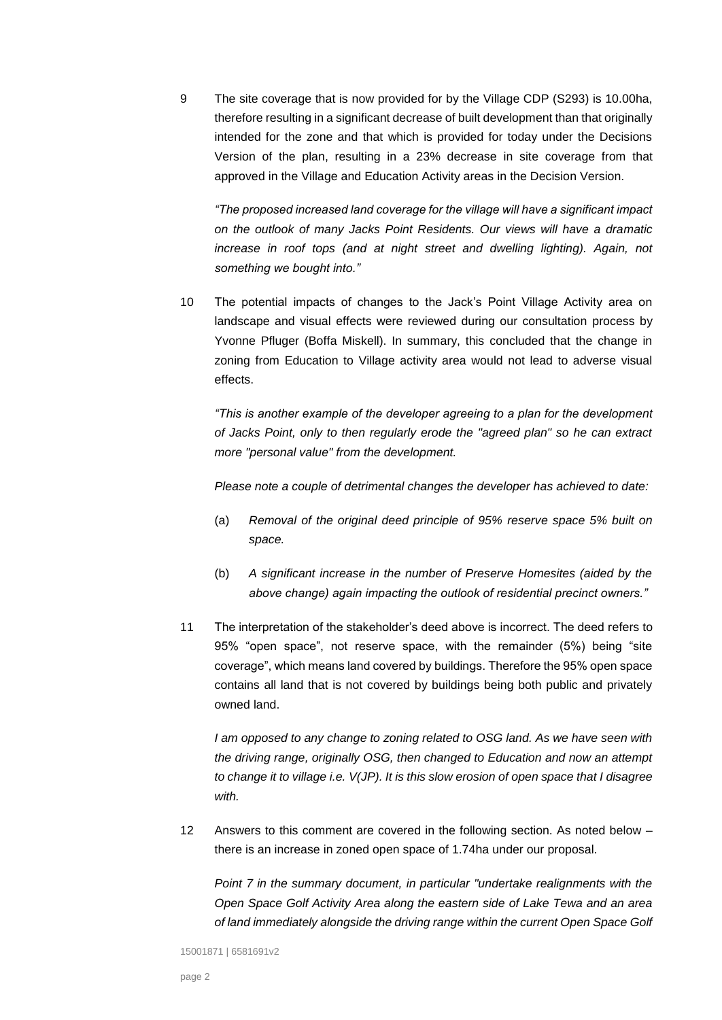9 The site coverage that is now provided for by the Village CDP (S293) is 10.00ha, therefore resulting in a significant decrease of built development than that originally intended for the zone and that which is provided for today under the Decisions Version of the plan, resulting in a 23% decrease in site coverage from that approved in the Village and Education Activity areas in the Decision Version.

*"The proposed increased land coverage for the village will have a significant impact on the outlook of many Jacks Point Residents. Our views will have a dramatic increase in roof tops (and at night street and dwelling lighting). Again, not something we bought into."*

10 The potential impacts of changes to the Jack's Point Village Activity area on landscape and visual effects were reviewed during our consultation process by Yvonne Pfluger (Boffa Miskell). In summary, this concluded that the change in zoning from Education to Village activity area would not lead to adverse visual effects.

*"This is another example of the developer agreeing to a plan for the development of Jacks Point, only to then regularly erode the "agreed plan" so he can extract more "personal value" from the development.* 

*Please note a couple of detrimental changes the developer has achieved to date:*

- (a) *Removal of the original deed principle of 95% reserve space 5% built on space.*
- (b) *A significant increase in the number of Preserve Homesites (aided by the above change) again impacting the outlook of residential precinct owners."*
- 11 The interpretation of the stakeholder's deed above is incorrect. The deed refers to 95% "open space", not reserve space, with the remainder (5%) being "site coverage", which means land covered by buildings. Therefore the 95% open space contains all land that is not covered by buildings being both public and privately owned land.

*I am opposed to any change to zoning related to OSG land. As we have seen with the driving range, originally OSG, then changed to Education and now an attempt to change it to village i.e. V(JP). It is this slow erosion of open space that I disagree with.*

12 Answers to this comment are covered in the following section. As noted below – there is an increase in zoned open space of 1.74ha under our proposal.

*Point 7 in the summary document, in particular "undertake realignments with the Open Space Golf Activity Area along the eastern side of Lake Tewa and an area of land immediately alongside the driving range within the current Open Space Golf*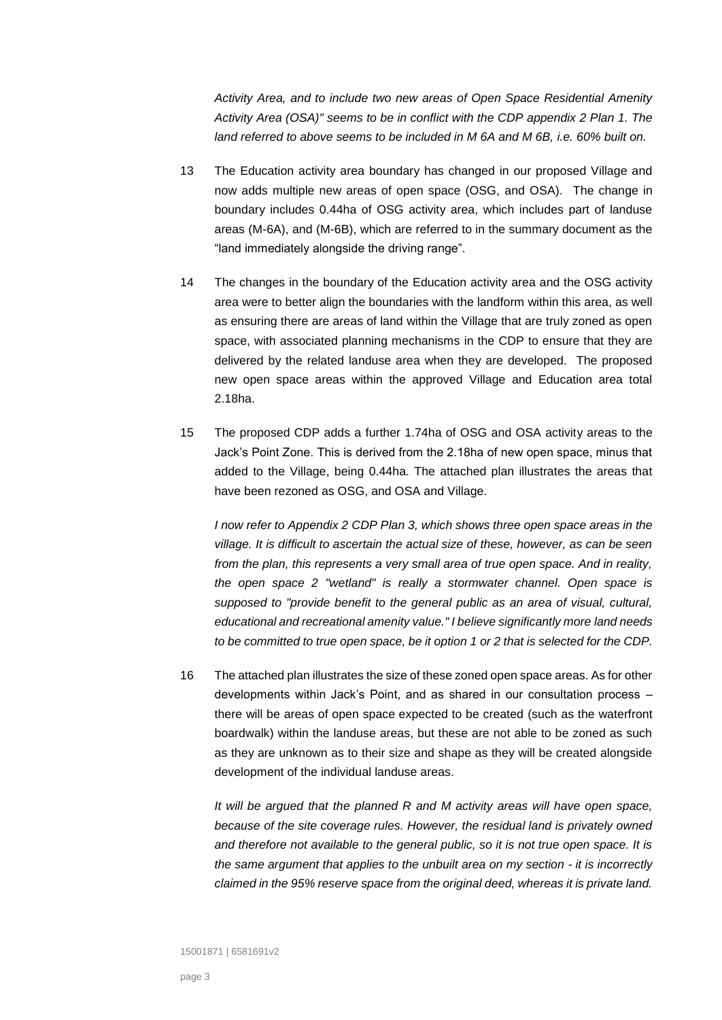*Activity Area, and to include two new areas of Open Space Residential Amenity Activity Area (OSA)" seems to be in conflict with the CDP appendix 2 Plan 1. The land referred to above seems to be included in M 6A and M 6B, i.e. 60% built on.*

- 13 The Education activity area boundary has changed in our proposed Village and now adds multiple new areas of open space (OSG, and OSA). The change in boundary includes 0.44ha of OSG activity area, which includes part of landuse areas (M-6A), and (M-6B), which are referred to in the summary document as the "land immediately alongside the driving range".
- 14 The changes in the boundary of the Education activity area and the OSG activity area were to better align the boundaries with the landform within this area, as well as ensuring there are areas of land within the Village that are truly zoned as open space, with associated planning mechanisms in the CDP to ensure that they are delivered by the related landuse area when they are developed. The proposed new open space areas within the approved Village and Education area total 2.18ha.
- 15 The proposed CDP adds a further 1.74ha of OSG and OSA activity areas to the Jack's Point Zone. This is derived from the 2.18ha of new open space, minus that added to the Village, being 0.44ha. The attached plan illustrates the areas that have been rezoned as OSG, and OSA and Village.

*I now refer to Appendix 2 CDP Plan 3, which shows three open space areas in the village. It is difficult to ascertain the actual size of these, however, as can be seen from the plan, this represents a very small area of true open space. And in reality, the open space 2 "wetland" is really a stormwater channel. Open space is supposed to "provide benefit to the general public as an area of visual, cultural, educational and recreational amenity value." I believe significantly more land needs to be committed to true open space, be it option 1 or 2 that is selected for the CDP.*

16 The attached plan illustrates the size of these zoned open space areas. As for other developments within Jack's Point, and as shared in our consultation process – there will be areas of open space expected to be created (such as the waterfront boardwalk) within the landuse areas, but these are not able to be zoned as such as they are unknown as to their size and shape as they will be created alongside development of the individual landuse areas.

*It will be argued that the planned R and M activity areas will have open space, because of the site coverage rules. However, the residual land is privately owned and therefore not available to the general public, so it is not true open space. It is the same argument that applies to the unbuilt area on my section - it is incorrectly claimed in the 95% reserve space from the original deed, whereas it is private land.*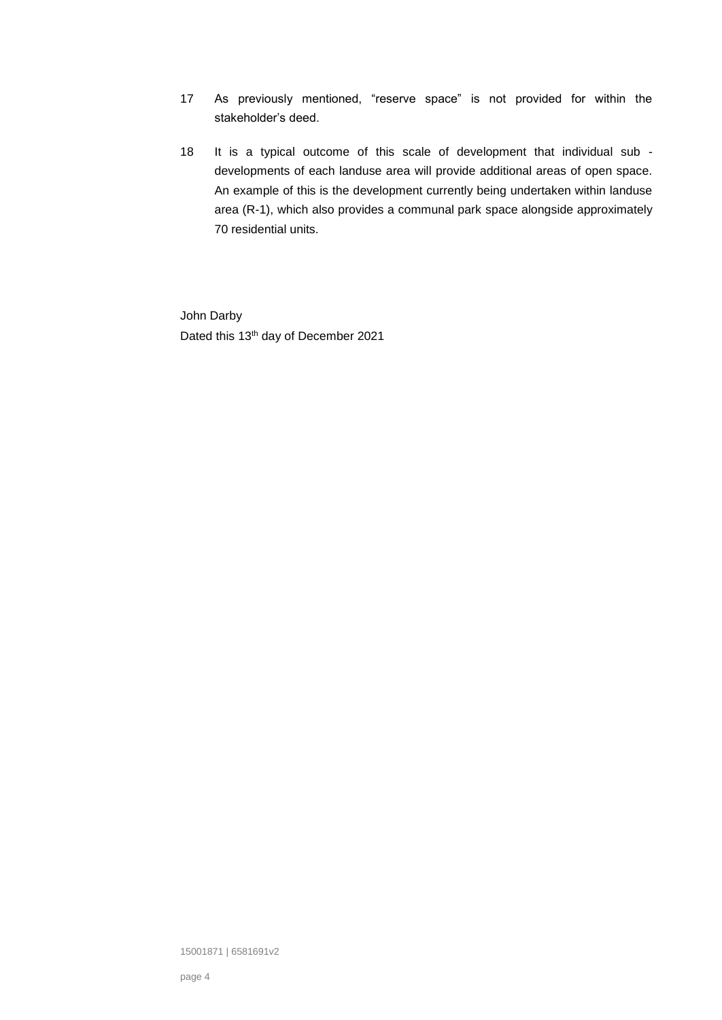- 17 As previously mentioned, "reserve space" is not provided for within the stakeholder's deed.
- 18 It is a typical outcome of this scale of development that individual sub developments of each landuse area will provide additional areas of open space. An example of this is the development currently being undertaken within landuse area (R-1), which also provides a communal park space alongside approximately 70 residential units.

John Darby Dated this 13<sup>th</sup> day of December 2021

15001871 | 6581691v2